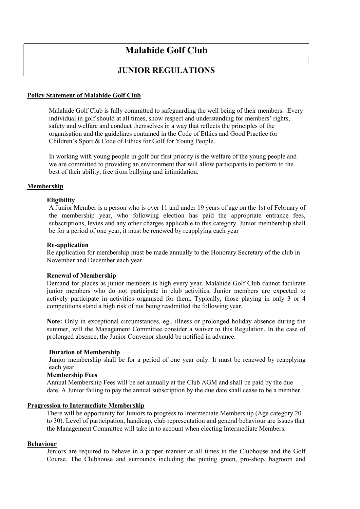# Malahide Golf Club

# JUNIOR REGULATIONS

# Policy Statement of Malahide Golf Club

Malahide Golf Club is fully committed to safeguarding the well being of their members. Every individual in golf should at all times, show respect and understanding for members' rights, safety and welfare and conduct themselves in a way that reflects the principles of the organisation and the guidelines contained in the Code of Ethics and Good Practice for Children's Sport & Code of Ethics for Golf for Young People.

In working with young people in golf our first priority is the welfare of the young people and we are committed to providing an environment that will allow participants to perform to the best of their ability, free from bullying and intimidation.

# Membership

#### **Eligibility**

 A Junior Member is a person who is over 11 and under 19 years of age on the 1st of February of the membership year, who following election has paid the appropriate entrance fees, subscriptions, levies and any other charges applicable to this category. Junior membership shall be for a period of one year, it must be renewed by reapplying each year

#### Re-application

Re application for membership must be made annually to the Honorary Secretary of the club in November and December each year

#### Renewal of Membership

Demand for places as junior members is high every year. Malahide Golf Club cannot facilitate junior members who do not participate in club activities. Junior members are expected to actively participate in activities organised for them. Typically, those playing in only 3 or 4 competitions stand a high risk of not being readmitted the following year.

Note: Only in exceptional circumstances, eg., illness or prolonged holiday absence during the summer, will the Management Committee consider a waiver to this Regulation. In the case of prolonged absence, the Junior Convenor should be notified in advance.

#### Duration of Membership

 Junior membership shall be for a period of one year only. It must be renewed by reapplying each year.

#### Membership Fees

Annual Membership Fees will be set annually at the Club AGM and shall be paid by the due date. A Junior failing to pay the annual subscription by the due date shall cease to be a member.

#### Progression to Intermediate Membership

 There will be opportunity for Juniors to progress to Intermediate Membership (Age category 20 to 30). Level of participation, handicap, club representation and general behaviour are issues that the Management Committee will take in to account when electing Intermediate Members.

#### Behaviour

Juniors are required to behave in a proper manner at all times in the Clubhouse and the Golf Course. The Clubhouse and surrounds including the putting green, pro-shop, bagroom and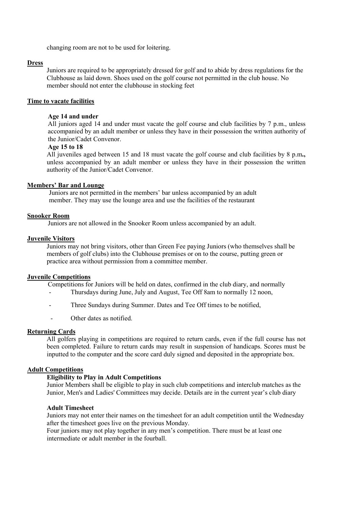changing room are not to be used for loitering.

# Dress

Juniors are required to be appropriately dressed for golf and to abide by dress regulations for the Clubhouse as laid down. Shoes used on the golf course not permitted in the club house. No member should not enter the clubhouse in stocking feet

## Time to vacate facilities

## Age 14 and under

All juniors aged 14 and under must vacate the golf course and club facilities by 7 p.m., unless accompanied by an adult member or unless they have in their possession the written authority of the Junior/Cadet Convenor.

# Age 15 to 18

All juveniles aged between 15 and 18 must vacate the golf course and club facilities by 8 p.m., unless accompanied by an adult member or unless they have in their possession the written authority of the Junior/Cadet Convenor.

#### Members' Bar and Lounge

Juniors are not permitted in the members' bar unless accompanied by an adult member. They may use the lounge area and use the facilities of the restaurant

#### Snooker Room

Juniors are not allowed in the Snooker Room unless accompanied by an adult.

#### Juvenile Visitors

Juniors may not bring visitors, other than Green Fee paying Juniors (who themselves shall be members of golf clubs) into the Clubhouse premises or on to the course, putting green or practice area without permission from a committee member.

#### Juvenile Competitions

Competitions for Juniors will be held on dates, confirmed in the club diary, and normally

- Thursdays during June, July and August, Tee Off 8am to normally 12 noon,
- Three Sundays during Summer. Dates and Tee Off times to be notified,
- Other dates as notified.

#### Returning Cards

All golfers playing in competitions are required to return cards, even if the full course has not been completed. Failure to return cards may result in suspension of handicaps. Scores must be inputted to the computer and the score card duly signed and deposited in the appropriate box.

### Adult Competitions

# Eligibility to Play in Adult Competitions

Junior Members shall be eligible to play in such club competitions and interclub matches as the Junior, Men's and Ladies' Committees may decide. Details are in the current year's club diary

#### Adult Timesheet

Juniors may not enter their names on the timesheet for an adult competition until the Wednesday after the timesheet goes live on the previous Monday.

Four juniors may not play together in any men's competition. There must be at least one intermediate or adult member in the fourball.